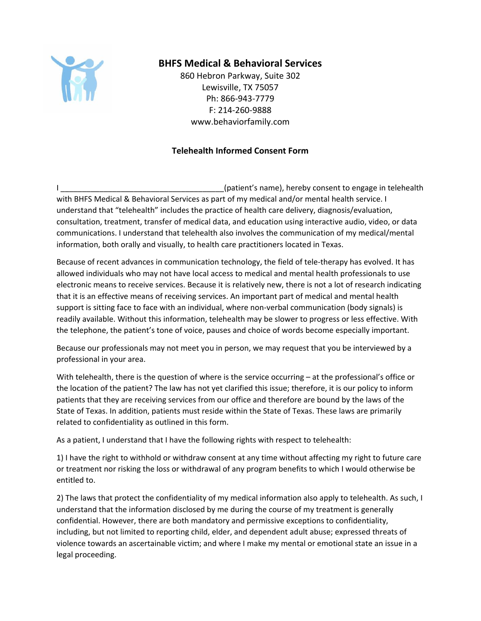

## **BHFS Medical & Behavioral Services**

860 Hebron Parkway, Suite 302 Lewisville, TX 75057 Ph: 866-943-7779 F: 214-260-9888 www.behaviorfamily.com

## **Telehealth Informed Consent Form**

I (patient's name), hereby consent to engage in telehealth with BHFS Medical & Behavioral Services as part of my medical and/or mental health service. I understand that "telehealth" includes the practice of health care delivery, diagnosis/evaluation, consultation, treatment, transfer of medical data, and education using interactive audio, video, or data communications. I understand that telehealth also involves the communication of my medical/mental information, both orally and visually, to health care practitioners located in Texas.

Because of recent advances in communication technology, the field of tele-therapy has evolved. It has allowed individuals who may not have local access to medical and mental health professionals to use electronic means to receive services. Because it is relatively new, there is not a lot of research indicating that it is an effective means of receiving services. An important part of medical and mental health support is sitting face to face with an individual, where non-verbal communication (body signals) is readily available. Without this information, telehealth may be slower to progress or less effective. With the telephone, the patient's tone of voice, pauses and choice of words become especially important.

Because our professionals may not meet you in person, we may request that you be interviewed by a professional in your area.

With telehealth, there is the question of where is the service occurring – at the professional's office or the location of the patient? The law has not yet clarified this issue; therefore, it is our policy to inform patients that they are receiving services from our office and therefore are bound by the laws of the State of Texas. In addition, patients must reside within the State of Texas. These laws are primarily related to confidentiality as outlined in this form.

As a patient, I understand that I have the following rights with respect to telehealth:

1) I have the right to withhold or withdraw consent at any time without affecting my right to future care or treatment nor risking the loss or withdrawal of any program benefits to which I would otherwise be entitled to.

2) The laws that protect the confidentiality of my medical information also apply to telehealth. As such, I understand that the information disclosed by me during the course of my treatment is generally confidential. However, there are both mandatory and permissive exceptions to confidentiality, including, but not limited to reporting child, elder, and dependent adult abuse; expressed threats of violence towards an ascertainable victim; and where I make my mental or emotional state an issue in a legal proceeding.